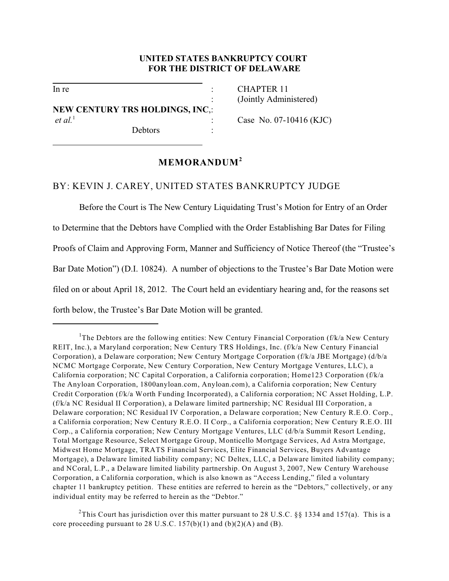### **UNITED STATES BANKRUPTCY COURT FOR THE DISTRICT OF DELAWARE**

l

l

**NEW CENTURY TRS HOLDINGS, INC**,: *et al.*<sup>1</sup> Case No. 07-10416 (KJC)

Debtors :

In re : CHAPTER 11 : (Jointly Administered)

# **MEMORANDUM<sup>2</sup>**

### BY: KEVIN J. CAREY, UNITED STATES BANKRUPTCY JUDGE

Before the Court is The New Century Liquidating Trust's Motion for Entry of an Order to Determine that the Debtors have Complied with the Order Establishing Bar Dates for Filing Proofs of Claim and Approving Form, Manner and Sufficiency of Notice Thereof (the "Trustee's Bar Date Motion") (D.I. 10824). A number of objections to the Trustee's Bar Date Motion were filed on or about April 18, 2012. The Court held an evidentiary hearing and, for the reasons set forth below, the Trustee's Bar Date Motion will be granted.

<sup>2</sup>This Court has jurisdiction over this matter pursuant to 28 U.S.C. §§ 1334 and 157(a). This is a core proceeding pursuant to 28 U.S.C.  $157(b)(1)$  and  $(b)(2)(A)$  and  $(B)$ .

<sup>&</sup>lt;sup>1</sup>The Debtors are the following entities: New Century Financial Corporation (f/k/a New Century REIT, Inc.), a Maryland corporation; New Century TRS Holdings, Inc. (f/k/a New Century Financial Corporation), a Delaware corporation; New Century Mortgage Corporation (f/k/a JBE Mortgage) (d/b/a NCMC Mortgage Corporate, New Century Corporation, New Century Mortgage Ventures, LLC), a California corporation; NC Capital Corporation, a California corporation; Home123 Corporation (f/k/a The Anyloan Corporation, 1800anyloan.com, Anyloan.com), a California corporation; New Century Credit Corporation (f/k/a Worth Funding Incorporated), a California corporation; NC Asset Holding, L.P. (f/k/a NC Residual II Corporation), a Delaware limited partnership; NC Residual III Corporation, a Delaware corporation; NC Residual IV Corporation, a Delaware corporation; New Century R.E.O. Corp., a California corporation; New Century R.E.O. II Corp., a California corporation; New Century R.E.O. III Corp., a California corporation; New Century Mortgage Ventures, LLC (d/b/a Summit Resort Lending, Total Mortgage Resource, Select Mortgage Group, Monticello Mortgage Services, Ad Astra Mortgage, Midwest Home Mortgage, TRATS Financial Services, Elite Financial Services, Buyers Advantage Mortgage), a Delaware limited liability company; NC Deltex, LLC, a Delaware limited liability company; and NCoral, L.P., a Delaware limited liability partnership. On August 3, 2007, New Century Warehouse Corporation, a California corporation, which is also known as "Access Lending," filed a voluntary chapter 11 bankruptcy petition. These entities are referred to herein as the "Debtors," collectively, or any individual entity may be referred to herein as the "Debtor."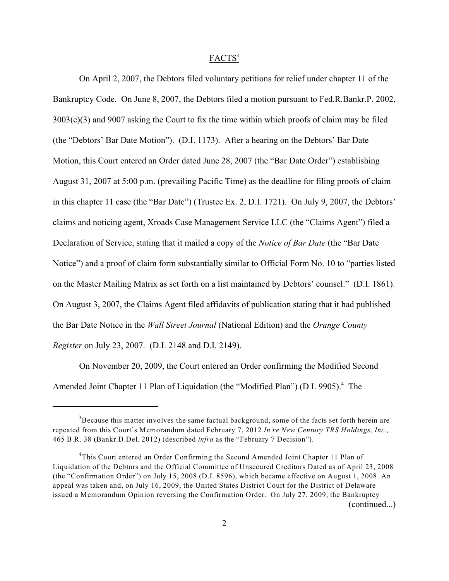### FACTS<sup>3</sup>

On April 2, 2007, the Debtors filed voluntary petitions for relief under chapter 11 of the Bankruptcy Code. On June 8, 2007, the Debtors filed a motion pursuant to Fed.R.Bankr.P. 2002, 3003(c)(3) and 9007 asking the Court to fix the time within which proofs of claim may be filed (the "Debtors' Bar Date Motion"). (D.I. 1173). After a hearing on the Debtors' Bar Date Motion, this Court entered an Order dated June 28, 2007 (the "Bar Date Order") establishing August 31, 2007 at 5:00 p.m. (prevailing Pacific Time) as the deadline for filing proofs of claim in this chapter 11 case (the "Bar Date") (Trustee Ex. 2, D.I. 1721). On July 9, 2007, the Debtors' claims and noticing agent, Xroads Case Management Service LLC (the "Claims Agent") filed a Declaration of Service, stating that it mailed a copy of the *Notice of Bar Date* (the "Bar Date Notice") and a proof of claim form substantially similar to Official Form No. 10 to "parties listed on the Master Mailing Matrix as set forth on a list maintained by Debtors' counsel." (D.I. 1861). On August 3, 2007, the Claims Agent filed affidavits of publication stating that it had published the Bar Date Notice in the *Wall Street Journal* (National Edition) and the *Orange County Register* on July 23, 2007. (D.I. 2148 and D.I. 2149).

On November 20, 2009, the Court entered an Order confirming the Modified Second Amended Joint Chapter 11 Plan of Liquidation (the "Modified Plan") (D.I. 9905).<sup>4</sup> The

 $3$ Because this matter involves the same factual background, some of the facts set forth herein are repeated from this Court's Memorandum dated February 7, 2012 *In re New Century TRS Holdings, Inc.,* 465 B.R. 38 (Bankr.D.Del. 2012) (described *infra* as the "February 7 Decision").

<sup>&</sup>lt;sup>4</sup>This Court entered an Order Confirming the Second Amended Joint Chapter 11 Plan of Liquidation of the Debtors and the Official Committee of Unsecured Creditors Dated as of April 23, 2008 (the "Confirmation Order") on July 15, 2008 (D.I. 8596), which became effective on August 1, 2008. An appeal was taken and, on July 16, 2009, the United States District Court for the District of Delaware issued a Memorandum Opinion reversing the Confirmation Order. On July 27, 2009, the Bankruptcy (continued...)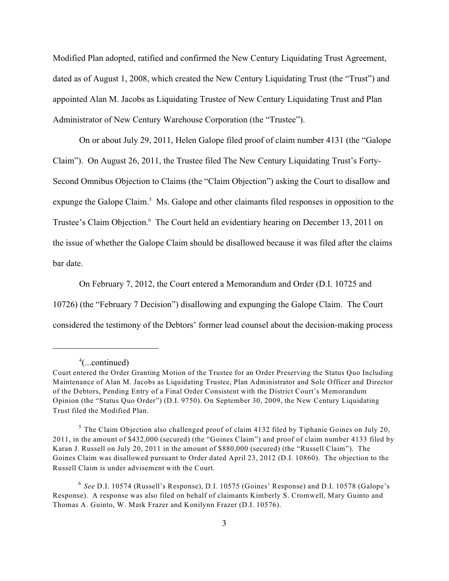Modified Plan adopted, ratified and confirmed the New Century Liquidating Trust Agreement, dated as of August 1, 2008, which created the New Century Liquidating Trust (the "Trust") and appointed Alan M. Jacobs as Liquidating Trustee of New Century Liquidating Trust and Plan Administrator of New Century Warehouse Corporation (the "Trustee").

On or about July 29, 2011, Helen Galope filed proof of claim number 4131 (the "Galope Claim"). On August 26, 2011, the Trustee filed The New Century Liquidating Trust's Forty-Second Omnibus Objection to Claims (the "Claim Objection") asking the Court to disallow and expunge the Galope Claim.<sup>5</sup> Ms. Galope and other claimants filed responses in opposition to the Trustee's Claim Objection.<sup>6</sup> The Court held an evidentiary hearing on December 13, 2011 on the issue of whether the Galope Claim should be disallowed because it was filed after the claims bar date.

On February 7, 2012, the Court entered a Memorandum and Order (D.I. 10725 and 10726) (the "February 7 Decision") disallowing and expunging the Galope Claim. The Court considered the testimony of the Debtors' former lead counsel about the decision-making process

 $^4$ (...continued)

Court entered the Order Granting Motion of the Trustee for an Order Preserving the Status Quo Including Maintenance of Alan M. Jacobs as Liquidating Trustee, Plan Administrator and Sole Officer and Director of the Debtors, Pending Entry of a Final Order Consistent with the District Court's Memorandum Opinion (the "Status Quo Order") (D.I. 9750). On September 30, 2009, the New Century Liquidating Trust filed the Modified Plan.

 $5$  The Claim Objection also challenged proof of claim 4132 filed by Tiphanie Goines on July 20, 2011, in the amount of \$432,000 (secured) (the "Goines Claim") and proof of claim number 4133 filed by Karan J. Russell on July 20, 2011 in the amount of \$880,000 (secured) (the "Russell Claim"). The Goines Claim was disallowed pursuant to Order dated April 23, 2012 (D.I. 10860). The objection to the Russell Claim is under advisement with the Court.

<sup>&</sup>lt;sup>6</sup> See D.I. 10574 (Russell's Response), D.I. 10575 (Goines' Response) and D.I. 10578 (Galope's Response). A response was also filed on behalf of claimants Kimberly S. Cromwell, Mary Guinto and Thomas A. Guinto, W. Mark Frazer and Konilynn Frazer (D.I. 10576).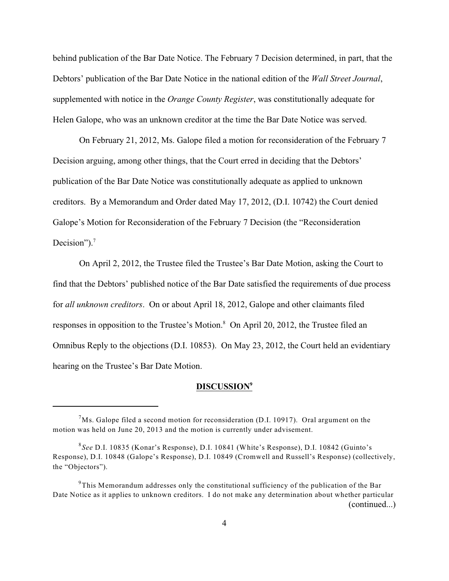behind publication of the Bar Date Notice. The February 7 Decision determined, in part, that the Debtors' publication of the Bar Date Notice in the national edition of the *Wall Street Journal*, supplemented with notice in the *Orange County Register*, was constitutionally adequate for Helen Galope, who was an unknown creditor at the time the Bar Date Notice was served.

On February 21, 2012, Ms. Galope filed a motion for reconsideration of the February 7 Decision arguing, among other things, that the Court erred in deciding that the Debtors' publication of the Bar Date Notice was constitutionally adequate as applied to unknown creditors. By a Memorandum and Order dated May 17, 2012, (D.I. 10742) the Court denied Galope's Motion for Reconsideration of the February 7 Decision (the "Reconsideration Decision").<sup>7</sup>

On April 2, 2012, the Trustee filed the Trustee's Bar Date Motion, asking the Court to find that the Debtors' published notice of the Bar Date satisfied the requirements of due process for *all unknown creditors*. On or about April 18, 2012, Galope and other claimants filed responses in opposition to the Trustee's Motion.<sup>8</sup> On April 20, 2012, the Trustee filed an Omnibus Reply to the objections (D.I. 10853). On May 23, 2012, the Court held an evidentiary hearing on the Trustee's Bar Date Motion.

### **DISCUSSION<sup>9</sup>**

 $^{7}$ Ms. Galope filed a second motion for reconsideration (D.I. 10917). Oral argument on the motion was held on June 20, 2013 and the motion is currently under advisement.

<sup>&</sup>lt;sup>8</sup>See D.I. 10835 (Konar's Response), D.I. 10841 (White's Response), D.I. 10842 (Guinto's Response), D.I. 10848 (Galope's Response), D.I. 10849 (Cromwell and Russell's Response) (collectively, the "Objectors").

 $9^9$ This Memorandum addresses only the constitutional sufficiency of the publication of the Bar Date Notice as it applies to unknown creditors. I do not make any determination about whether particular (continued...)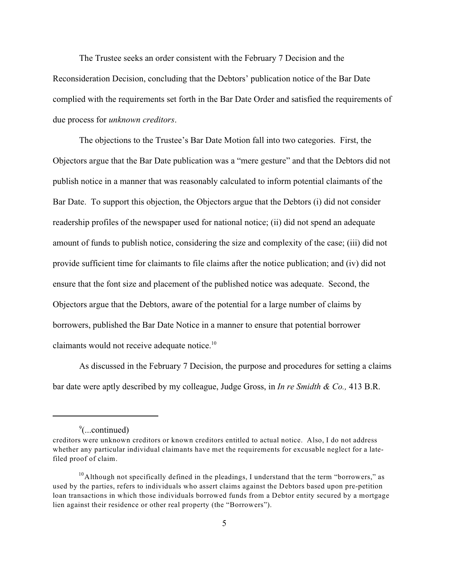The Trustee seeks an order consistent with the February 7 Decision and the Reconsideration Decision, concluding that the Debtors' publication notice of the Bar Date complied with the requirements set forth in the Bar Date Order and satisfied the requirements of due process for *unknown creditors*.

The objections to the Trustee's Bar Date Motion fall into two categories. First, the Objectors argue that the Bar Date publication was a "mere gesture" and that the Debtors did not publish notice in a manner that was reasonably calculated to inform potential claimants of the Bar Date. To support this objection, the Objectors argue that the Debtors (i) did not consider readership profiles of the newspaper used for national notice; (ii) did not spend an adequate amount of funds to publish notice, considering the size and complexity of the case; (iii) did not provide sufficient time for claimants to file claims after the notice publication; and (iv) did not ensure that the font size and placement of the published notice was adequate. Second, the Objectors argue that the Debtors, aware of the potential for a large number of claims by borrowers, published the Bar Date Notice in a manner to ensure that potential borrower claimants would not receive adequate notice.<sup>10</sup>

As discussed in the February 7 Decision, the purpose and procedures for setting a claims bar date were aptly described by my colleague, Judge Gross, in *In re Smidth & Co.,* 413 B.R.

 $\degree$ (...continued)

creditors were unknown creditors or known creditors entitled to actual notice. Also, I do not address whether any particular individual claimants have met the requirements for excusable neglect for a latefiled proof of claim.

<sup>&</sup>lt;sup>10</sup> Although not specifically defined in the pleadings, I understand that the term "borrowers," as used by the parties, refers to individuals who assert claims against the Debtors based upon pre-petition loan transactions in which those individuals borrowed funds from a Debtor entity secured by a mortgage lien against their residence or other real property (the "Borrowers").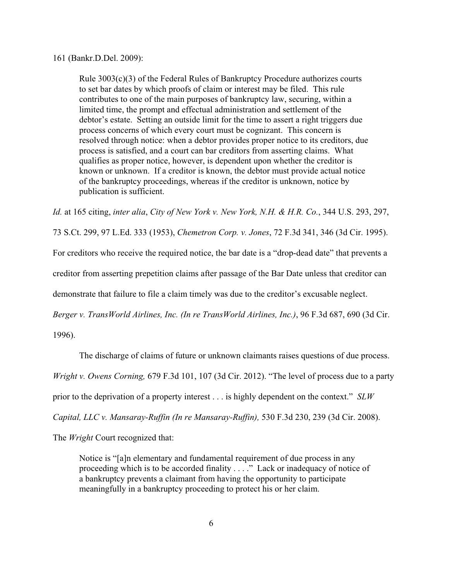#### 161 (Bankr.D.Del. 2009):

Rule 3003(c)(3) of the Federal Rules of Bankruptcy Procedure authorizes courts to set bar dates by which proofs of claim or interest may be filed. This rule contributes to one of the main purposes of bankruptcy law, securing, within a limited time, the prompt and effectual administration and settlement of the debtor's estate. Setting an outside limit for the time to assert a right triggers due process concerns of which every court must be cognizant. This concern is resolved through notice: when a debtor provides proper notice to its creditors, due process is satisfied, and a court can bar creditors from asserting claims. What qualifies as proper notice, however, is dependent upon whether the creditor is known or unknown. If a creditor is known, the debtor must provide actual notice of the bankruptcy proceedings, whereas if the creditor is unknown, notice by publication is sufficient.

*Id.* at 165 citing, *inter alia*, *City of New York v. New York, N.H. & H.R. Co.*, 344 U.S. 293, 297,

73 S.Ct. 299, 97 L.Ed. 333 (1953), *Chemetron Corp. v. Jones*, 72 F.3d 341, 346 (3d Cir. 1995).

For creditors who receive the required notice, the bar date is a "drop-dead date" that prevents a

creditor from asserting prepetition claims after passage of the Bar Date unless that creditor can

demonstrate that failure to file a claim timely was due to the creditor's excusable neglect.

*Berger v. TransWorld Airlines, Inc. (In re TransWorld Airlines, Inc.)*, 96 F.3d 687, 690 (3d Cir.

1996).

The discharge of claims of future or unknown claimants raises questions of due process.

*Wright v. Owens Corning,* 679 F.3d 101, 107 (3d Cir. 2012). "The level of process due to a party

prior to the deprivation of a property interest . . . is highly dependent on the context." *SLW*

*Capital, LLC v. Mansaray-Ruffin (In re Mansaray-Ruffin),* 530 F.3d 230, 239 (3d Cir. 2008).

The *Wright* Court recognized that:

Notice is "[a]n elementary and fundamental requirement of due process in any proceeding which is to be accorded finality . . . ." Lack or inadequacy of notice of a bankruptcy prevents a claimant from having the opportunity to participate meaningfully in a bankruptcy proceeding to protect his or her claim.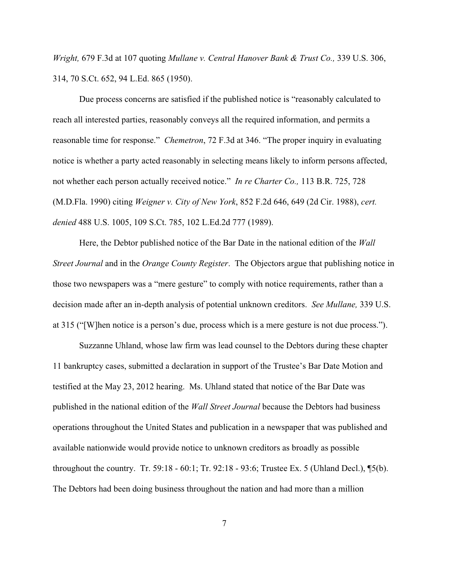*Wright,* 679 F.3d at 107 quoting *Mullane v. Central Hanover Bank & Trust Co.,* 339 U.S. 306, 314, 70 S.Ct. 652, 94 L.Ed. 865 (1950).

Due process concerns are satisfied if the published notice is "reasonably calculated to reach all interested parties, reasonably conveys all the required information, and permits a reasonable time for response." *Chemetron*, 72 F.3d at 346. "The proper inquiry in evaluating notice is whether a party acted reasonably in selecting means likely to inform persons affected, not whether each person actually received notice." *In re Charter Co.,* 113 B.R. 725, 728 (M.D.Fla. 1990) citing *Weigner v. City of New York*, 852 F.2d 646, 649 (2d Cir. 1988), *cert. denied* 488 U.S. 1005, 109 S.Ct. 785, 102 L.Ed.2d 777 (1989).

Here, the Debtor published notice of the Bar Date in the national edition of the *Wall Street Journal* and in the *Orange County Register*. The Objectors argue that publishing notice in those two newspapers was a "mere gesture" to comply with notice requirements, rather than a decision made after an in-depth analysis of potential unknown creditors. *See Mullane,* 339 U.S. at 315 ("[W]hen notice is a person's due, process which is a mere gesture is not due process.").

Suzzanne Uhland, whose law firm was lead counsel to the Debtors during these chapter 11 bankruptcy cases, submitted a declaration in support of the Trustee's Bar Date Motion and testified at the May 23, 2012 hearing. Ms. Uhland stated that notice of the Bar Date was published in the national edition of the *Wall Street Journal* because the Debtors had business operations throughout the United States and publication in a newspaper that was published and available nationwide would provide notice to unknown creditors as broadly as possible throughout the country. Tr. 59:18 - 60:1; Tr. 92:18 - 93:6; Trustee Ex. 5 (Uhland Decl.), ¶5(b). The Debtors had been doing business throughout the nation and had more than a million

7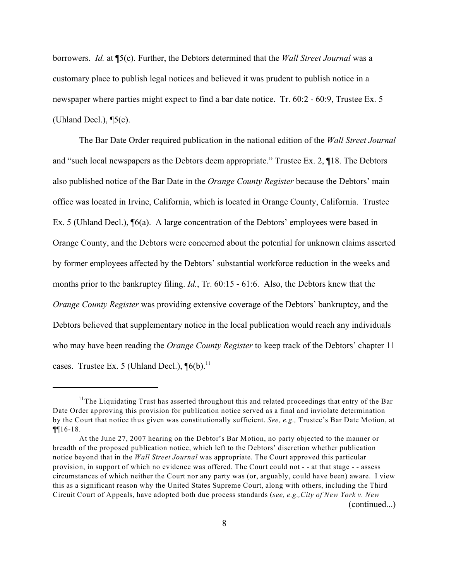borrowers. *Id.* at ¶5(c). Further, the Debtors determined that the *Wall Street Journal* was a customary place to publish legal notices and believed it was prudent to publish notice in a newspaper where parties might expect to find a bar date notice. Tr. 60:2 - 60:9, Trustee Ex. 5 (Uhland Decl.), ¶5(c).

The Bar Date Order required publication in the national edition of the *Wall Street Journal* and "such local newspapers as the Debtors deem appropriate." Trustee Ex. 2, ¶18. The Debtors also published notice of the Bar Date in the *Orange County Register* because the Debtors' main office was located in Irvine, California, which is located in Orange County, California. Trustee Ex. 5 (Uhland Decl.), ¶6(a). A large concentration of the Debtors' employees were based in Orange County, and the Debtors were concerned about the potential for unknown claims asserted by former employees affected by the Debtors' substantial workforce reduction in the weeks and months prior to the bankruptcy filing. *Id.*, Tr. 60:15 - 61:6. Also, the Debtors knew that the *Orange County Register* was providing extensive coverage of the Debtors' bankruptcy, and the Debtors believed that supplementary notice in the local publication would reach any individuals who may have been reading the *Orange County Register* to keep track of the Debtors' chapter 11 cases. Trustee Ex. 5 (Uhland Decl.),  $\P6(b)$ .<sup>11</sup>

 $11$ The Liquidating Trust has asserted throughout this and related proceedings that entry of the Bar Date Order approving this provision for publication notice served as a final and inviolate determination by the Court that notice thus given was constitutionally sufficient. *See, e.g.,* Trustee's Bar Date Motion, at ¶¶16-18.

At the June 27, 2007 hearing on the Debtor's Bar Motion, no party objected to the manner or breadth of the proposed publication notice, which left to the Debtors' discretion whether publication notice beyond that in the *Wall Street Journal* was appropriate. The Court approved this particular provision, in support of which no evidence was offered. The Court could not - - at that stage - - assess circumstances of which neither the Court nor any party was (or, arguably, could have been) aware. I view this as a significant reason why the United States Supreme Court, along with others, including the Third Circuit Court of Appeals, have adopted both due process standards (*see, e.g.,City of New York v. New*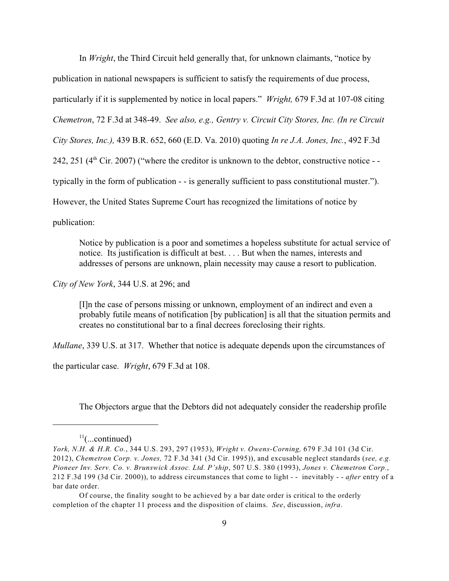In *Wright*, the Third Circuit held generally that, for unknown claimants, "notice by publication in national newspapers is sufficient to satisfy the requirements of due process, particularly if it is supplemented by notice in local papers." *Wright,* 679 F.3d at 107-08 citing *Chemetron*, 72 F.3d at 348-49. *See also, e.g., Gentry v. Circuit City Stores, Inc. (In re Circuit City Stores, Inc.),* 439 B.R. 652, 660 (E.D. Va. 2010) quoting *In re J.A. Jones, Inc.*, 492 F.3d 242, 251 ( $4<sup>th</sup>$  Cir. 2007) ("where the creditor is unknown to the debtor, constructive notice - typically in the form of publication - - is generally sufficient to pass constitutional muster."). However, the United States Supreme Court has recognized the limitations of notice by publication:

Notice by publication is a poor and sometimes a hopeless substitute for actual service of notice. Its justification is difficult at best. . . . But when the names, interests and addresses of persons are unknown, plain necessity may cause a resort to publication.

*City of New York*, 344 U.S. at 296; and

[I]n the case of persons missing or unknown, employment of an indirect and even a probably futile means of notification [by publication] is all that the situation permits and creates no constitutional bar to a final decrees foreclosing their rights.

*Mullane*, 339 U.S. at 317. Whether that notice is adequate depends upon the circumstances of

the particular case. *Wright*, 679 F.3d at 108.

The Objectors argue that the Debtors did not adequately consider the readership profile

 $11$ (...continued)

*York, N.H. & H.R. Co.*, 344 U.S. 293, 297 (1953), *Wright v. Owens-Corning,* 679 F.3d 101 (3d Cir. 2012), *Chemetron Corp. v. Jones,* 72 F.3d 341 (3d Cir. 1995)), and excusable neglect standards (*see, e.g. Pioneer Inv. Serv. Co. v. Brunswick Assoc. Ltd. P'ship*, 507 U.S. 380 (1993), *Jones v. Chemetron Corp.*, 212 F.3d 199 (3d Cir. 2000)), to address circumstances that come to light - - inevitably - - *after* entry of a bar date order.

Of course, the finality sought to be achieved by a bar date order is critical to the orderly completion of the chapter 11 process and the disposition of claims. *See*, discussion, *infra*.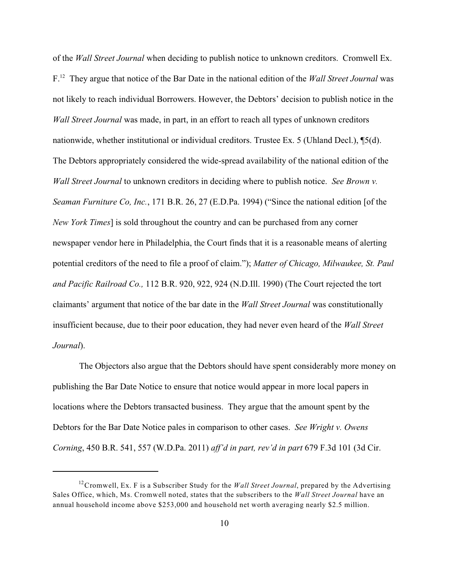of the *Wall Street Journal* when deciding to publish notice to unknown creditors. Cromwell Ex. F.<sup>12</sup> They argue that notice of the Bar Date in the national edition of the *Wall Street Journal* was not likely to reach individual Borrowers. However, the Debtors' decision to publish notice in the *Wall Street Journal* was made, in part, in an effort to reach all types of unknown creditors nationwide, whether institutional or individual creditors. Trustee Ex. 5 (Uhland Decl.), ¶5(d). The Debtors appropriately considered the wide-spread availability of the national edition of the *Wall Street Journal* to unknown creditors in deciding where to publish notice. *See Brown v. Seaman Furniture Co, Inc.*, 171 B.R. 26, 27 (E.D.Pa. 1994) ("Since the national edition [of the *New York Times*] is sold throughout the country and can be purchased from any corner newspaper vendor here in Philadelphia, the Court finds that it is a reasonable means of alerting potential creditors of the need to file a proof of claim."); *Matter of Chicago, Milwaukee, St. Paul and Pacific Railroad Co.,* 112 B.R. 920, 922, 924 (N.D.Ill. 1990) (The Court rejected the tort claimants' argument that notice of the bar date in the *Wall Street Journal* was constitutionally insufficient because, due to their poor education, they had never even heard of the *Wall Street Journal*).

The Objectors also argue that the Debtors should have spent considerably more money on publishing the Bar Date Notice to ensure that notice would appear in more local papers in locations where the Debtors transacted business. They argue that the amount spent by the Debtors for the Bar Date Notice pales in comparison to other cases. *See Wright v. Owens Corning*, 450 B.R. 541, 557 (W.D.Pa. 2011) *aff'd in part, rev'd in part* 679 F.3d 101 (3d Cir.

<sup>&</sup>lt;sup>12</sup> Cromwell, Ex. F is a Subscriber Study for the *Wall Street Journal*, prepared by the Advertising Sales Office, which, Ms. Cromwell noted, states that the subscribers to the *Wall Street Journal* have an annual household income above \$253,000 and household net worth averaging nearly \$2.5 million.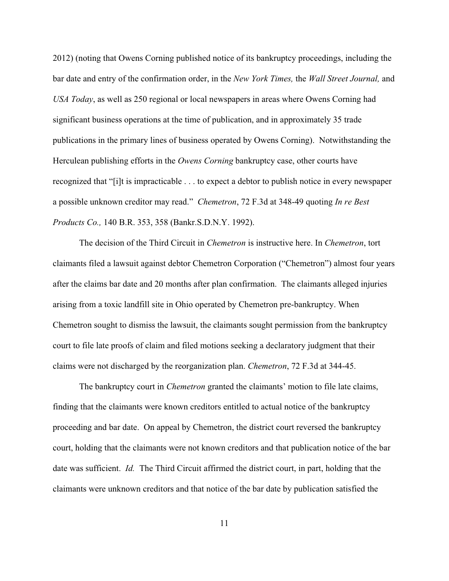2012) (noting that Owens Corning published notice of its bankruptcy proceedings, including the bar date and entry of the confirmation order, in the *New York Times,* the *Wall Street Journal,* and *USA Today*, as well as 250 regional or local newspapers in areas where Owens Corning had significant business operations at the time of publication, and in approximately 35 trade publications in the primary lines of business operated by Owens Corning). Notwithstanding the Herculean publishing efforts in the *Owens Corning* bankruptcy case, other courts have recognized that "[i]t is impracticable . . . to expect a debtor to publish notice in every newspaper a possible unknown creditor may read." *Chemetron*, 72 F.3d at 348-49 quoting *In re Best Products Co.,* 140 B.R. 353, 358 (Bankr.S.D.N.Y. 1992).

The decision of the Third Circuit in *Chemetron* is instructive here. In *Chemetron*, tort claimants filed a lawsuit against debtor Chemetron Corporation ("Chemetron") almost four years after the claims bar date and 20 months after plan confirmation. The claimants alleged injuries arising from a toxic landfill site in Ohio operated by Chemetron pre-bankruptcy. When Chemetron sought to dismiss the lawsuit, the claimants sought permission from the bankruptcy court to file late proofs of claim and filed motions seeking a declaratory judgment that their claims were not discharged by the reorganization plan. *Chemetron*, 72 F.3d at 344-45.

The bankruptcy court in *Chemetron* granted the claimants' motion to file late claims, finding that the claimants were known creditors entitled to actual notice of the bankruptcy proceeding and bar date. On appeal by Chemetron, the district court reversed the bankruptcy court, holding that the claimants were not known creditors and that publication notice of the bar date was sufficient. *Id.* The Third Circuit affirmed the district court, in part, holding that the claimants were unknown creditors and that notice of the bar date by publication satisfied the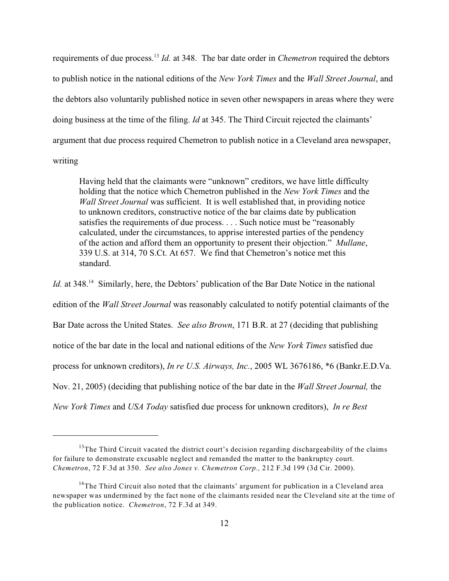requirements of due process.<sup>13</sup> Id. at 348. The bar date order in *Chemetron* required the debtors to publish notice in the national editions of the *New York Times* and the *Wall Street Journal*, and the debtors also voluntarily published notice in seven other newspapers in areas where they were doing business at the time of the filing. *Id* at 345. The Third Circuit rejected the claimants' argument that due process required Chemetron to publish notice in a Cleveland area newspaper, writing

Having held that the claimants were "unknown" creditors, we have little difficulty holding that the notice which Chemetron published in the *New York Times* and the *Wall Street Journal* was sufficient. It is well established that, in providing notice to unknown creditors, constructive notice of the bar claims date by publication satisfies the requirements of due process. . . . Such notice must be "reasonably calculated, under the circumstances, to apprise interested parties of the pendency of the action and afford them an opportunity to present their objection." *Mullane*, 339 U.S. at 314, 70 S.Ct. At 657. We find that Chemetron's notice met this standard.

*Id.* at 348.<sup>14</sup> Similarly, here, the Debtors' publication of the Bar Date Notice in the national edition of the *Wall Street Journal* was reasonably calculated to notify potential claimants of the Bar Date across the United States. *See also Brown*, 171 B.R. at 27 (deciding that publishing notice of the bar date in the local and national editions of the *New York Times* satisfied due process for unknown creditors), *In re U.S. Airways, Inc.*, 2005 WL 3676186, \*6 (Bankr.E.D.Va. Nov. 21, 2005) (deciding that publishing notice of the bar date in the *Wall Street Journal,* the *New York Times* and *USA Today* satisfied due process for unknown creditors), *In re Best*

 $13$ The Third Circuit vacated the district court's decision regarding dischargeability of the claims for failure to demonstrate excusable neglect and remanded the matter to the bankruptcy court. *Chemetron*, 72 F.3d at 350. *See also Jones v. Chemetron Corp.,* 212 F.3d 199 (3d Cir. 2000).

<sup>&</sup>lt;sup>14</sup>The Third Circuit also noted that the claimants' argument for publication in a Cleveland area newspaper was undermined by the fact none of the claimants resided near the Cleveland site at the time of the publication notice. *Chemetron*, 72 F.3d at 349.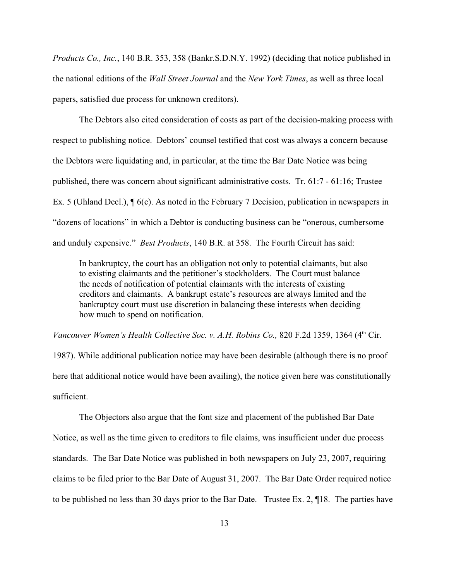*Products Co., Inc.*, 140 B.R. 353, 358 (Bankr.S.D.N.Y. 1992) (deciding that notice published in the national editions of the *Wall Street Journal* and the *New York Times*, as well as three local papers, satisfied due process for unknown creditors).

The Debtors also cited consideration of costs as part of the decision-making process with respect to publishing notice. Debtors' counsel testified that cost was always a concern because the Debtors were liquidating and, in particular, at the time the Bar Date Notice was being published, there was concern about significant administrative costs. Tr. 61:7 - 61:16; Trustee Ex. 5 (Uhland Decl.), ¶ 6(c). As noted in the February 7 Decision, publication in newspapers in "dozens of locations" in which a Debtor is conducting business can be "onerous, cumbersome and unduly expensive." *Best Products*, 140 B.R. at 358. The Fourth Circuit has said:

In bankruptcy, the court has an obligation not only to potential claimants, but also to existing claimants and the petitioner's stockholders. The Court must balance the needs of notification of potential claimants with the interests of existing creditors and claimants. A bankrupt estate's resources are always limited and the bankruptcy court must use discretion in balancing these interests when deciding how much to spend on notification.

*Vancouver Women's Health Collective Soc. v. A.H. Robins Co., 820 F.2d 1359, 1364 (4th Cir.* 

1987). While additional publication notice may have been desirable (although there is no proof here that additional notice would have been availing), the notice given here was constitutionally sufficient.

The Objectors also argue that the font size and placement of the published Bar Date Notice, as well as the time given to creditors to file claims, was insufficient under due process standards. The Bar Date Notice was published in both newspapers on July 23, 2007, requiring claims to be filed prior to the Bar Date of August 31, 2007. The Bar Date Order required notice to be published no less than 30 days prior to the Bar Date. Trustee Ex. 2, ¶18. The parties have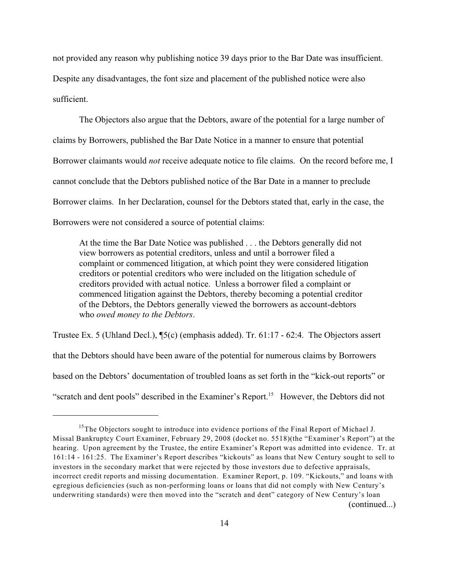not provided any reason why publishing notice 39 days prior to the Bar Date was insufficient. Despite any disadvantages, the font size and placement of the published notice were also sufficient.

The Objectors also argue that the Debtors, aware of the potential for a large number of claims by Borrowers, published the Bar Date Notice in a manner to ensure that potential Borrower claimants would *not* receive adequate notice to file claims. On the record before me, I cannot conclude that the Debtors published notice of the Bar Date in a manner to preclude Borrower claims. In her Declaration, counsel for the Debtors stated that, early in the case, the Borrowers were not considered a source of potential claims:

At the time the Bar Date Notice was published . . . the Debtors generally did not view borrowers as potential creditors, unless and until a borrower filed a complaint or commenced litigation, at which point they were considered litigation creditors or potential creditors who were included on the litigation schedule of creditors provided with actual notice. Unless a borrower filed a complaint or commenced litigation against the Debtors, thereby becoming a potential creditor of the Debtors, the Debtors generally viewed the borrowers as account-debtors who *owed money to the Debtors*.

Trustee Ex. 5 (Uhland Decl.),  $\P_5(c)$  (emphasis added). Tr. 61:17 - 62:4. The Objectors assert that the Debtors should have been aware of the potential for numerous claims by Borrowers based on the Debtors' documentation of troubled loans as set forth in the "kick-out reports" or "scratch and dent pools" described in the Examiner's Report.<sup>15</sup> However, the Debtors did not

 $15$ The Objectors sought to introduce into evidence portions of the Final Report of Michael J. Missal Bankruptcy Court Examiner, February 29, 2008 (docket no. 5518)(the "Examiner's Report") at the hearing. Upon agreement by the Trustee, the entire Examiner's Report was admitted into evidence. Tr. at 161:14 - 161:25. The Examiner's Report describes "kickouts" as loans that New Century sought to sell to investors in the secondary market that were rejected by those investors due to defective appraisals, incorrect credit reports and missing documentation. Examiner Report, p. 109. "Kickouts," and loans with egregious deficiencies (such as non-performing loans or loans that did not comply with New Century's underwriting standards) were then moved into the "scratch and dent" category of New Century's loan (continued...)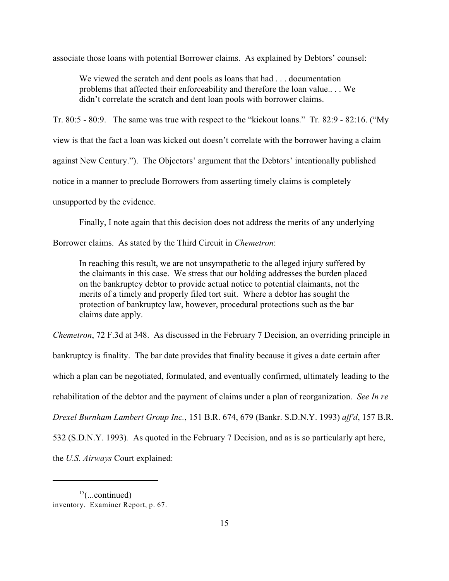associate those loans with potential Borrower claims. As explained by Debtors' counsel:

We viewed the scratch and dent pools as loans that had . . . documentation problems that affected their enforceability and therefore the loan value.. . . We didn't correlate the scratch and dent loan pools with borrower claims.

Tr. 80:5 - 80:9. The same was true with respect to the "kickout loans." Tr. 82:9 - 82:16. ("My

view is that the fact a loan was kicked out doesn't correlate with the borrower having a claim

against New Century."). The Objectors' argument that the Debtors' intentionally published

notice in a manner to preclude Borrowers from asserting timely claims is completely

unsupported by the evidence.

Finally, I note again that this decision does not address the merits of any underlying

Borrower claims. As stated by the Third Circuit in *Chemetron*:

In reaching this result, we are not unsympathetic to the alleged injury suffered by the claimants in this case. We stress that our holding addresses the burden placed on the bankruptcy debtor to provide actual notice to potential claimants, not the merits of a timely and properly filed tort suit. Where a debtor has sought the protection of bankruptcy law, however, procedural protections such as the bar claims date apply.

*Chemetron*, 72 F.3d at 348. As discussed in the February 7 Decision, an overriding principle in bankruptcy is finality. The bar date provides that finality because it gives a date certain after which a plan can be negotiated, formulated, and eventually confirmed, ultimately leading to the rehabilitation of the debtor and the payment of claims under a plan of reorganization. *See In re Drexel Burnham Lambert Group Inc.*, 151 B.R. 674, 679 (Bankr. S.D.N.Y. 1993) *aff'd*, 157 B.R. 532 (S.D.N.Y. 1993)*.* As quoted in the February 7 Decision, and as is so particularly apt here, the *U.S. Airways* Court explained:

 $15$ (...continued) inventory. Examiner Report, p. 67.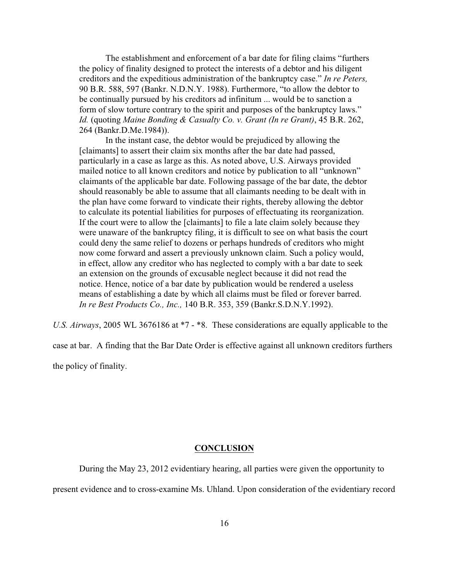The establishment and enforcement of a bar date for filing claims "furthers the policy of finality designed to protect the interests of a debtor and his diligent creditors and the expeditious administration of the bankruptcy case." *In re Peters,* 90 B.R. 588, 597 (Bankr. N.D.N.Y. 1988). Furthermore, "to allow the debtor to be continually pursued by his creditors ad infinitum ... would be to sanction a form of slow torture contrary to the spirit and purposes of the bankruptcy laws." *Id.* (quoting *Maine Bonding & Casualty Co. v. Grant (In re Grant)*, 45 B.R. 262, 264 (Bankr.D.Me.1984)).

In the instant case, the debtor would be prejudiced by allowing the [claimants] to assert their claim six months after the bar date had passed, particularly in a case as large as this. As noted above, U.S. Airways provided mailed notice to all known creditors and notice by publication to all "unknown" claimants of the applicable bar date. Following passage of the bar date, the debtor should reasonably be able to assume that all claimants needing to be dealt with in the plan have come forward to vindicate their rights, thereby allowing the debtor to calculate its potential liabilities for purposes of effectuating its reorganization. If the court were to allow the [claimants] to file a late claim solely because they were unaware of the bankruptcy filing, it is difficult to see on what basis the court could deny the same relief to dozens or perhaps hundreds of creditors who might now come forward and assert a previously unknown claim. Such a policy would, in effect, allow any creditor who has neglected to comply with a bar date to seek an extension on the grounds of excusable neglect because it did not read the notice. Hence, notice of a bar date by publication would be rendered a useless means of establishing a date by which all claims must be filed or forever barred. *In re Best Products Co., Inc.,* 140 B.R. 353, 359 (Bankr.S.D.N.Y.1992).

*U.S. Airways*, 2005 WL 3676186 at \*7 - \*8. These considerations are equally applicable to the

case at bar. A finding that the Bar Date Order is effective against all unknown creditors furthers the policy of finality.

### **CONCLUSION**

During the May 23, 2012 evidentiary hearing, all parties were given the opportunity to

present evidence and to cross-examine Ms. Uhland. Upon consideration of the evidentiary record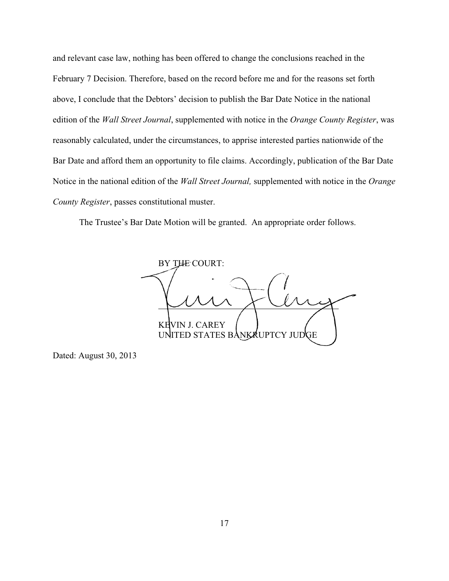and relevant case law, nothing has been offered to change the conclusions reached in the February 7 Decision. Therefore, based on the record before me and for the reasons set forth above, I conclude that the Debtors' decision to publish the Bar Date Notice in the national edition of the *Wall Street Journal*, supplemented with notice in the *Orange County Register*, was reasonably calculated, under the circumstances, to apprise interested parties nationwide of the Bar Date and afford them an opportunity to file claims. Accordingly, publication of the Bar Date Notice in the national edition of the *Wall Street Journal,* supplemented with notice in the *Orange County Register*, passes constitutional muster.

The Trustee's Bar Date Motion will be granted. An appropriate order follows.

BY THE COURT: l KEVIN J. CAREY UNITED STATES BANKRUPTCY JUDGE

Dated: August 30, 2013